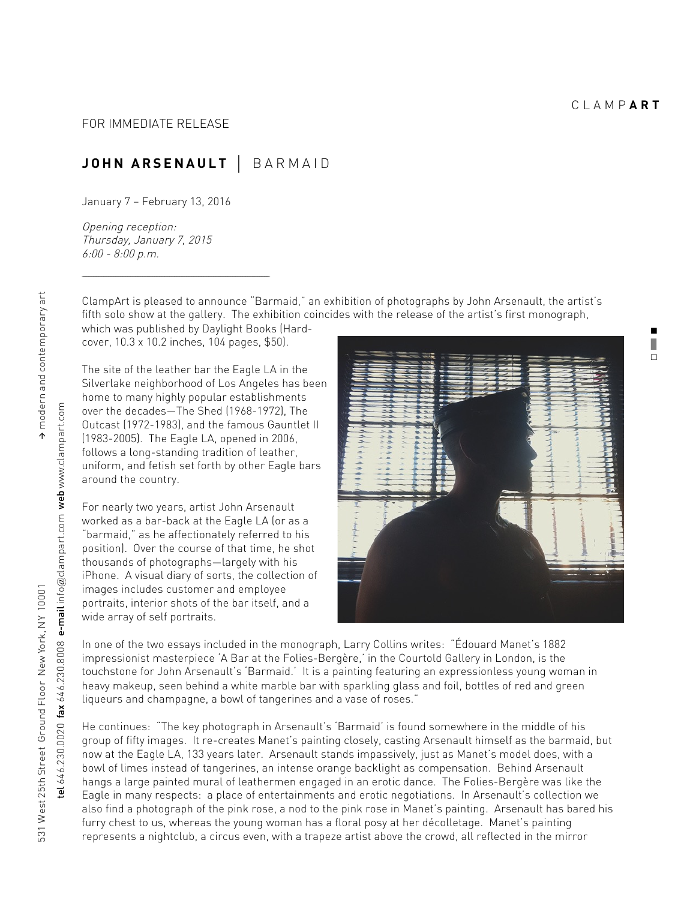**.** ❚  $\Box$ 

## **JOHN ARSENAULT** ⏐ BARMAID

January 7 – February 13, 2016

Opening reception: Thursday, January 7, 2015 6:00 - 8:00 p.m.

ClampArt is pleased to announce "Barmaid," an exhibition of photographs by John Arsenault, the artist's fifth solo show at the gallery. The exhibition coincides with the release of the artist's first monograph,

which was published by Daylight Books (Hardcover, 10.3 x 10.2 inches, 104 pages, \$50).

<u> La componenta de la componenta de la componenta de la componenta de la componenta de la componenta de la compo</u>

The site of the leather bar the Eagle LA in the Silverlake neighborhood of Los Angeles has been home to many highly popular establishments over the decades—The Shed (1968-1972), The Outcast (1972-1983), and the famous Gauntlet II (1983-2005). The Eagle LA, opened in 2006, follows a long-standing tradition of leather, uniform, and fetish set forth by other Eagle bars around the country.

For nearly two years, artist John Arsenault worked as a bar-back at the Eagle LA (or as a "barmaid," as he affectionately referred to his position). Over the course of that time, he shot thousands of photographs—largely with his iPhone. A visual diary of sorts, the collection of images includes customer and employee portraits, interior shots of the bar itself, and a wide array of self portraits.



In one of the two essays included in the monograph, Larry Collins writes: "Édouard Manet's 1882 impressionist masterpiece 'A Bar at the Folies-Bergère,' in the Courtold Gallery in London, is the touchstone for John Arsenault's 'Barmaid.' It is a painting featuring an expressionless young woman in heavy makeup, seen behind a white marble bar with sparkling glass and foil, bottles of red and green liqueurs and champagne, a bowl of tangerines and a vase of roses."

He continues: "The key photograph in Arsenault's 'Barmaid' is found somewhere in the middle of his group of fifty images. It re-creates Manet's painting closely, casting Arsenault himself as the barmaid, but now at the Eagle LA, 133 years later. Arsenault stands impassively, just as Manet's model does, with a bowl of limes instead of tangerines, an intense orange backlight as compensation. Behind Arsenault hangs a large painted mural of leathermen engaged in an erotic dance. The Folies-Bergère was like the Eagle in many respects: a place of entertainments and erotic negotiations. In Arsenault's collection we also find a photograph of the pink rose, a nod to the pink rose in Manet's painting. Arsenault has bared his furry chest to us, whereas the young woman has a floral posy at her décolletage. Manet's painting represents a nightclub, a circus even, with a trapeze artist above the crowd, all reflected in the mirror

tel 646.230.0020 fax 646.230.8008 e-mail info

 $rel 646.230.0020$  fax  $646.230.8008$  e-mail info@clampart.com web www.clampart.com

 $@$ clampart.com web www.clampart.com